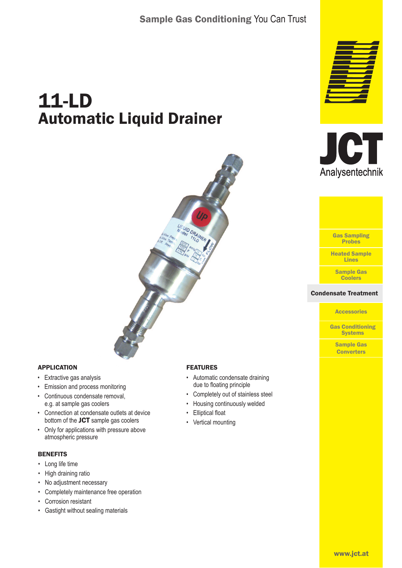# 11-LD Automatic Liquid Drainer







#### ente Treatm **Condensate Treatment**

**Accessories** 

Gas Conditioning **Systems** 

Sample Gas **Converters** 

## APPLICATION

- Extractive gas analysis
- Emission and process monitoring
- Continuous condensate removal, e.g. at sample gas coolers
- Connection at condensate outlets at device bottom of the JCT sample gas coolers
- Only for applications with pressure above atmospheric pressure

### **BENEFITS**

- Long life time
- High draining ratio
- No adjustment necessary
- Completely maintenance free operation
- Corrosion resistant
- Gastight without sealing materials

#### FEATURES

- Automatic condensate draining due to floating principle
- Completely out of stainless steel
- Housing continuously welded
- Elliptical float
- Vertical mounting